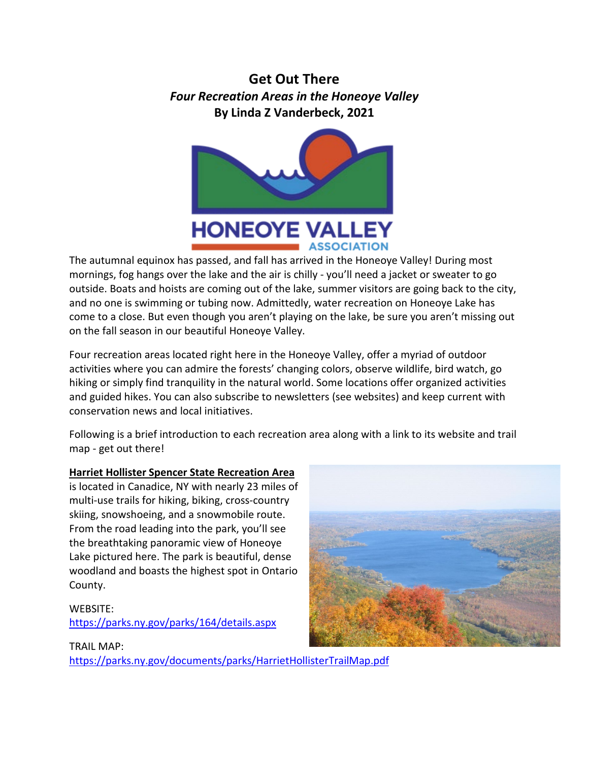# **Get Out There** *Four Recreation Areas in the Honeoye Valley* **By Linda Z Vanderbeck, 2021**



The autumnal equinox has passed, and fall has arrived in the Honeoye Valley! During most mornings, fog hangs over the lake and the air is chilly - you'll need a jacket or sweater to go outside. Boats and hoists are coming out of the lake, summer visitors are going back to the city, and no one is swimming or tubing now. Admittedly, water recreation on Honeoye Lake has come to a close. But even though you aren't playing on the lake, be sure you aren't missing out on the fall season in our beautiful Honeoye Valley.

Four recreation areas located right here in the Honeoye Valley, offer a myriad of outdoor activities where you can admire the forests' changing colors, observe wildlife, bird watch, go hiking or simply find tranquility in the natural world. Some locations offer organized activities and guided hikes. You can also subscribe to newsletters (see websites) and keep current with conservation news and local initiatives.

Following is a brief introduction to each recreation area along with a link to its website and trail map - get out there!

# **Harriet Hollister Spencer State Recreation Area**

is located in Canadice, NY with nearly 23 miles of multi-use trails for hiking, biking, cross-country skiing, snowshoeing, and a snowmobile route. From the road leading into the park, you'll see the breathtaking panoramic view of Honeoye Lake pictured here. The park is beautiful, dense woodland and boasts the highest spot in Ontario County.

# WEBSITE: <https://parks.ny.gov/parks/164/details.aspx>

### TRAIL MAP: <https://parks.ny.gov/documents/parks/HarrietHollisterTrailMap.pdf>